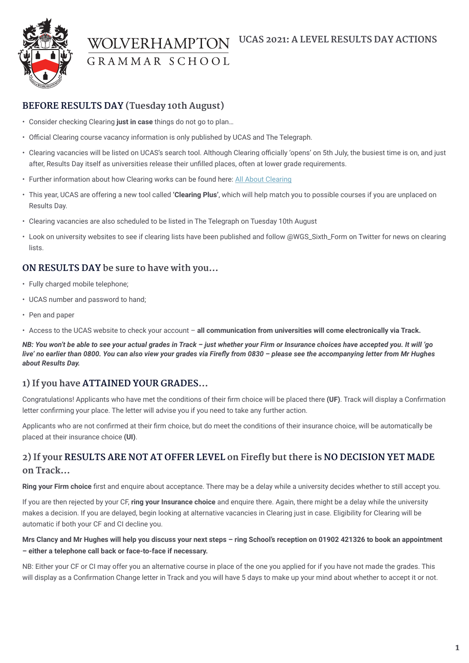

GRAMMAR SCHOOL

### **BEFORE RESULTS DAY (Tuesday 10th August)**

- Consider checking Clearing **just in case** things do not go to plan…
- Official Clearing course vacancy information is only published by UCAS and The Telegraph.
- Clearing vacancies will be listed on UCAS's search tool. Although Clearing officially 'opens' on 5th July, the busiest time is on, and just after, Results Day itself as universities release their unfilled places, often at lower grade requirements.
- Further information about how Clearing works can be found here: [All About Clearing](https://www.ucas.com/undergraduate/results-confirmation-and-clearing/what-clearing)
- This year, UCAS are offering a new tool called **'Clearing Plus'**, which will help match you to possible courses if you are unplaced on Results Day.
- Clearing vacancies are also scheduled to be listed in The Telegraph on Tuesday 10th August
- Look on university websites to see if clearing lists have been published and follow @WGS\_Sixth\_Form on Twitter for news on clearing lists.

### **ON RESULTS DAY be sure to have with you…**

- Fully charged mobile telephone;
- UCAS number and password to hand;
- Pen and paper

• Access to the UCAS website to check your account – **all communication from universities will come electronically via Track.**

*NB: You won't be able to see your actual grades in Track – just whether your Firm or Insurance choices have accepted you. It will 'go live' no earlier than 0800. You can also view your grades via Firefly from 0830 – please see the accompanying letter from Mr Hughes about Results Day.*

### **1) If you have ATTAINED YOUR GRADES...**

Congratulations! Applicants who have met the conditions of their firm choice will be placed there **(UF)**. Track will display a Confirmation letter confirming your place. The letter will advise you if you need to take any further action.

Applicants who are not confirmed at their firm choice, but do meet the conditions of their insurance choice, will be automatically be placed at their insurance choice **(UI)**.

# **2) If your RESULTS ARE NOT AT OFFER LEVEL on Firefly but there is NO DECISION YET MADE on Track…**

**Ring your Firm choice** first and enquire about acceptance. There may be a delay while a university decides whether to still accept you.

If you are then rejected by your CF, **ring your Insurance choice** and enquire there. Again, there might be a delay while the university makes a decision. If you are delayed, begin looking at alternative vacancies in Clearing just in case. Eligibility for Clearing will be automatic if both your CF and CI decline you.

#### **Mrs Clancy and Mr Hughes will help you discuss your next steps – ring School's reception on 01902 421326 to book an appointment – either a telephone call back or face-to-face if necessary.**

NB: Either your CF or CI may offer you an alternative course in place of the one you applied for if you have not made the grades. This will display as a Confirmation Change letter in Track and you will have 5 days to make up your mind about whether to accept it or not.